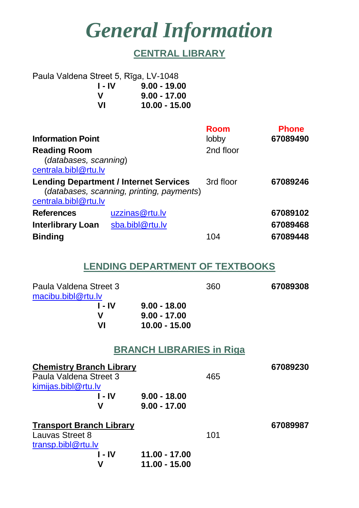# *General Information*

# **CENTRAL LIBRARY**

| Paula Valdena Street 5, Rīga, LV-1048 |                 |  |  |  |
|---------------------------------------|-----------------|--|--|--|
| 1 - IV                                | $9.00 - 19.00$  |  |  |  |
| v                                     | $9.00 - 17.00$  |  |  |  |
| VI                                    | $10.00 - 15.00$ |  |  |  |
|                                       |                 |  |  |  |

| <b>Information Point</b>                                                                                           |                 | <b>Room</b><br>lobby | <b>Phone</b><br>67089490 |
|--------------------------------------------------------------------------------------------------------------------|-----------------|----------------------|--------------------------|
| <b>Reading Room</b><br>(databases, scanning)<br>centrala.bibl@rtu.lv                                               |                 | 2nd floor            |                          |
| <b>Lending Department / Internet Services</b><br>(databases, scanning, printing, payments)<br>centrala.bibl@rtu.lv |                 | 3rd floor            | 67089246                 |
| <b>References</b>                                                                                                  | uzzinas@rtu.lv  |                      | 67089102                 |
| <b>Interlibrary Loan</b>                                                                                           | sba.bibl@rtu.lv |                      | 67089468                 |
| <b>Binding</b>                                                                                                     |                 | 104                  | 67089448                 |

### **LENDING DEPARTMENT OF TEXTBOOKS**

| Paula Valdena Street 3<br>macibu.bibl@rtu.lv |                                                   | 360 | 67089308 |
|----------------------------------------------|---------------------------------------------------|-----|----------|
| $I - IV$<br>V<br>VI                          | $9.00 - 18.00$<br>$9.00 - 17.00$<br>10.00 - 15.00 |     |          |
|                                              | <b>BRANCH LIBRARIES in Riga</b>                   |     |          |
| <b>Chemistry Branch Library</b>              |                                                   |     | 67089230 |
| Paula Valdena Street 3                       |                                                   | 465 |          |
| kimijas.bibl@rtu.lv                          |                                                   |     |          |
| 1 - IV                                       | $9.00 - 18.00$                                    |     |          |
| V                                            | $9.00 - 17.00$                                    |     |          |
| <b>Transport Branch Library</b>              |                                                   |     | 67089987 |
| Lauvas Street 8                              |                                                   | 101 |          |
| transp.bibl@rtu.lv                           |                                                   |     |          |
| l - IV                                       | 11.00 - 17.00                                     |     |          |
| V                                            | 11.00 - 15.00                                     |     |          |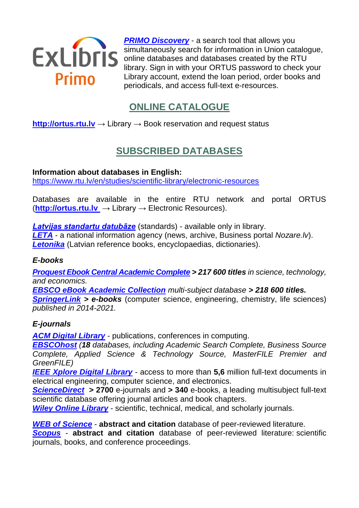

**[PRIMO Discovery](https://primolatvija.hosted.exlibrisgroup.com/primo-explore/search?sortby=rank&vid=371KISCRTU_VU1&lang=en_US)** - a search tool that allows you simultaneously search for information in Union catalogue, online databases and databases created by the RTU library. Sign in with your ORTUS password to check your Library account, extend the loan period, order books and periodicals, and access full-text e-resources.

# **ONLINE CATALOGUE**

#### **[http://ortus.rtu.lv](http://ortus.rtu.lv/)** → Library → Book reservation and request status

# **SUBSCRIBED DATABASES**

**Information about databases in English:** 

<https://www.rtu.lv/en/studies/scientific-library/electronic-resources>

Databases are available in the entire RTU network and portal ORTUS (**[http://ortus.rtu.lv](http://ortus.rtu.lv/)** → Library → Electronic Resources).

#### *[Latvijas standartu datubāze](https://www.lvs.lv/)* (standards) - available only in library.

*[LETA](http://leta.lv/)* - a national information agency (news, archive, Business portal *Nozare.lv*). *[Letonika](http://letonika.lv/)* (Latvian reference books, encyclopaedias, dictionaries).

#### *E-books*

*[Proquest Ebook Central](https://ebookcentral.proquest.com/lib/rtulv-ebooks/search.action) Academic Complete > 217 600 titles in science, technology, and economics.*

*[EBSCO eBook Academic Collection](http://search.ebscohost.com/) multi-subject database > 218 600 titles. [SpringerLink](http://link.springer.com/) > e-books* (computer science, engineering, chemistry, life sciences) *published in 2014-2021.*

#### *E-journals*

*[ACM Digital Library](http://dl.acm.org/)* - publications, conferences in computing.

*[EBSCOhost](http://search.ebscohost.com/) (18 databases, including Academic Search Complete, Business Source Complete, Applied Science & Technology Source, MasterFILE Premier and GreenFILE)*

**[IEEE Xplore Digital Library](http://ieeexplore.ieee.org/Xplore/home.jsp)** - access to more than 5,6 million full-text documents in electrical engineering, computer science, and electronics.

*[ScienceDirect](http://www.sciencedirect.com/)* **> 2700** e-journals and **> 340** e-books, a leading multisubject full-text scientific database offering journal articles and book chapters.

**[Wiley Online Library](http://onlinelibrary.wiley.com/)** - scientific, technical, medical, and scholarly journals.

*[WEB of Science](http://login.webofknowledge.com/)* - **abstract and citation** database of peer-reviewed literature.

*[Scopus](http://scopus.com/)* - **abstract and citation** database of peer-reviewed literature: scientific journals, books, and conference proceedings.